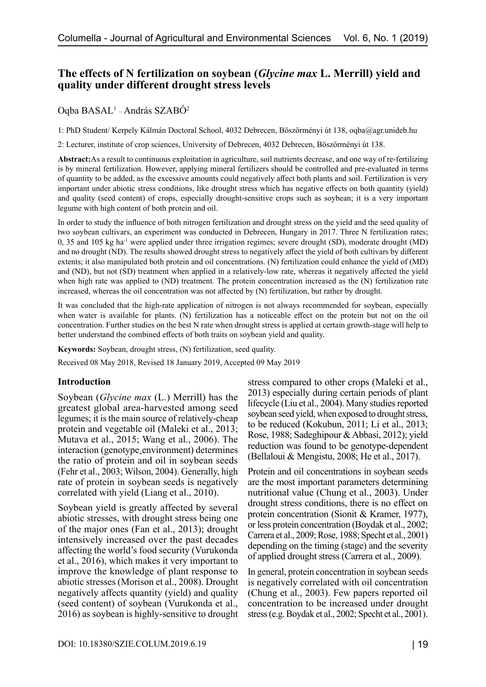# **The effects of N fertilization on soybean (***Glycine max* **L. Merrill) yield and quality under different drought stress levels**

## Oqba BASAL1 – András SZABÓ2

1: PhD Student/ Kerpely Kálmán Doctoral School, 4032 Debrecen, Böszörményi út 138, oqba@agr.unideb.hu

2: Lecturer, institute of crop sciences, University of Debrecen, 4032 Debrecen, Böszörményi út 138.

**Abstract:**As a result to continuous exploitation in agriculture, soil nutrients decrease, and one way of re-fertilizing is by mineral fertilization. However, applying mineral fertilizers should be controlled and pre-evaluated in terms of quantity to be added, as the excessive amounts could negatively affect both plants and soil. Fertilization is very important under abiotic stress conditions, like drought stress which has negative effects on both quantity (yield) and quality (seed content) of crops, especially drought-sensitive crops such as soybean; it is a very important legume with high content of both protein and oil.

In order to study the influence of both nitrogen fertilization and drought stress on the yield and the seed quality of two soybean cultivars, an experiment was conducted in Debrecen, Hungary in 2017. Three N fertilization rates; 0, 35 and 105 kg ha-1 were applied under three irrigation regimes; severe drought (SD), moderate drought (MD) and no drought (ND). The results showed drought stress to negatively affect the yield of both cultivars by different extents; it also manipulated both protein and oil concentrations. (N) fertilization could enhance the yield of (MD) and (ND), but not (SD) treatment when applied in a relatively-low rate, whereas it negatively affected the yield when high rate was applied to (ND) treatment. The protein concentration increased as the (N) fertilization rate increased, whereas the oil concentration was not affected by (N) fertilization, but rather by drought.

It was concluded that the high-rate application of nitrogen is not always recommended for soybean, especially when water is available for plants. (N) fertilization has a noticeable effect on the protein but not on the oil concentration. Further studies on the best N rate when drought stress is applied at certain growth-stage will help to better understand the combined effects of both traits on soybean yield and quality.

**Keywords:** Soybean, drought stress, (N) fertilization, seed quality.

Received 08 May 2018, Revised 18 January 2019, Accepted 09 May 2019

#### **Introduction**

Soybean (*Glycine max* (L.) Merrill) has the greatest global area-harvested among seed legumes; it is the main source of relatively-cheap protein and vegetable oil (Maleki et al., 2013; Mutava et al., 2015; Wang et al., 2006). The interaction (genotype, environment) determines the ratio of protein and oil in soybean seeds (Fehr et al., 2003; Wilson, 2004). Generally, high rate of protein in soybean seeds is negatively correlated with yield (Liang et al., 2010).

Soybean yield is greatly affected by several abiotic stresses, with drought stress being one of the major ones (Fan et al., 2013); drought intensively increased over the past decades affecting the world's food security (Vurukonda et al., 2016), which makes it very important to improve the knowledge of plant response to abiotic stresses (Morison et al., 2008). Drought negatively affects quantity (yield) and quality (seed content) of soybean (Vurukonda et al., 2016) as soybean is highly-sensitive to drought stress compared to other crops (Maleki et al., 2013) especially during certain periods of plant lifecycle (Liu et al., 2004). Many studies reported soybean seed yield, when exposed to drought stress, to be reduced (Kokubun, 2011; Li et al., 2013; Rose, 1988; Sadeghipour & Abbasi, 2012); yield reduction was found to be genotype-dependent (Bellaloui & Mengistu, 2008; He et al., 2017).

Protein and oil concentrations in soybean seeds are the most important parameters determining nutritional value (Chung et al., 2003). Under drought stress conditions, there is no effect on protein concentration (Sionit & Kramer, 1977), or less protein concentration (Boydak et al., 2002; Carrera et al., 2009; Rose, 1988; Specht et al., 2001) depending on the timing (stage) and the severity of applied drought stress (Carrera et al., 2009).

In general, protein concentration in soybean seeds is negatively correlated with oil concentration (Chung et al., 2003). Few papers reported oil concentration to be increased under drought stress (e.g. Boydak et al., 2002; Specht et al., 2001).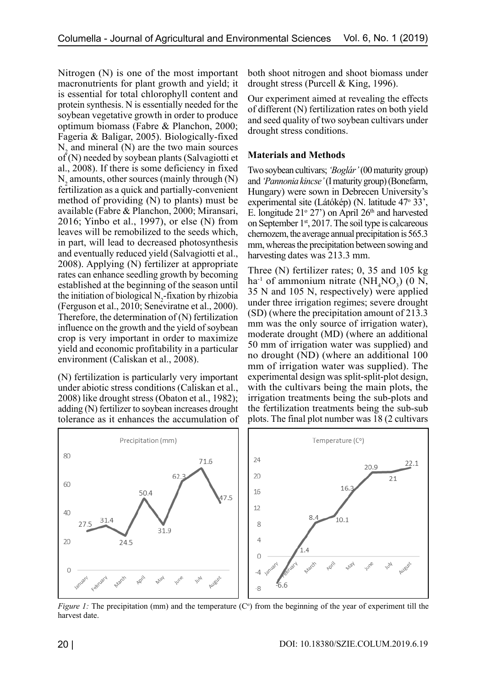Nitrogen (N) is one of the most important macronutrients for plant growth and yield; it is essential for total chlorophyll content and protein synthesis. N is essentially needed for the soybean vegetative growth in order to produce optimum biomass (Fabre & Planchon, 2000; Fageria & Baligar, 2005). Biologically-fixed  $N_2$  and mineral (N) are the two main sources  $of (N)$  needed by soybean plants (Salvagiotti et al., 2008). If there is some deficiency in fixed  $N_2$  amounts, other sources (mainly through  $(N)$ ) fertilization as a quick and partially-convenient method of providing (N) to plants) must be available (Fabre & Planchon, 2000; Miransari, 2016; Yinbo et al., 1997), or else (N) from leaves will be remobilized to the seeds which, in part, will lead to decreased photosynthesis and eventually reduced yield (Salvagiotti et al., 2008). Applying (N) fertilizer at appropriate rates can enhance seedling growth by becoming established at the beginning of the season until the initiation of biological  $N_2$ -fixation by rhizobia (Ferguson et al., 2010; Seneviratne et al., 2000). Therefore, the determination of (N) fertilization influence on the growth and the yield of soybean crop is very important in order to maximize yield and economic profitability in a particular environment (Caliskan et al., 2008).

(N) fertilization is particularly very important under abiotic stress conditions (Caliskan et al., 2008) like drought stress (Obaton et al., 1982); adding (N) fertilizer to soybean increases drought tolerance as it enhances the accumulation of both shoot nitrogen and shoot biomass under drought stress (Purcell & King, 1996).

Our experiment aimed at revealing the effects of different (N) fertilization rates on both yield and seed quality of two soybean cultivars under drought stress conditions.

### **Materials and Methods**

Two soybean cultivars; *'Boglár'* (00 maturity group) and *'Pannonia kincse'* (I maturity group) (Bonefarm, Hungary) were sown in Debrecen University's experimental site (Látókép) (N. latitude 47° 33', E. longitude  $21^{\circ}$  27') on April  $26^{\text{th}}$  and harvested on September  $1<sup>st</sup>$ , 2017. The soil type is calcareous chernozem, the average annual precipitation is 565.3 mm, whereas the precipitation between sowing and harvesting dates was 213.3 mm.

Three (N) fertilizer rates; 0, 35 and 105 kg  $ha^{-1}$  of ammonium nitrate (NH<sub>4</sub>NO<sub>3</sub>) (0 N, 35 N and 105 N, respectively) were applied under three irrigation regimes; severe drought (SD) (where the precipitation amount of 213.3 mm was the only source of irrigation water), moderate drought (MD) (where an additional 50 mm of irrigation water was supplied) and no drought (ND) (where an additional 100 mm of irrigation water was supplied). The experimental design was split-split-plot design, with the cultivars being the main plots, the irrigation treatments being the sub-plots and the fertilization treatments being the sub-sub plots. The final plot number was 18 (2 cultivars



*Figure 1:* The precipitation (mm) and the temperature (C°) from the beginning of the year of experiment till the harvest date.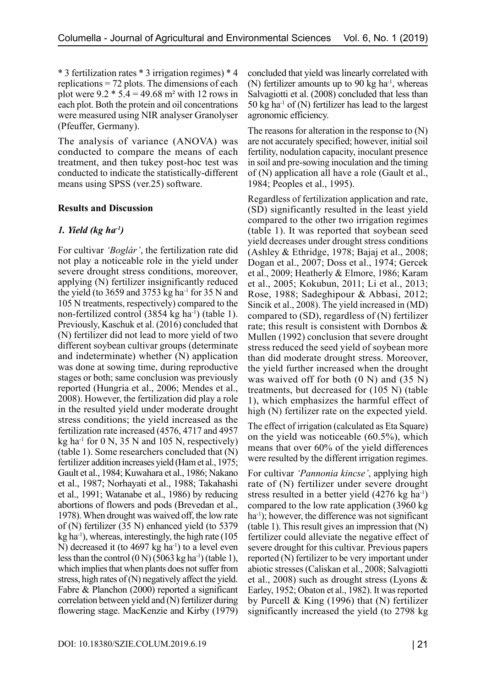\* 3 fertilization rates \* 3 irrigation regimes) \* 4 replications = 72 plots. The dimensions of each plot were  $9.2 * 5.4 = 49.68$  m<sup>2</sup> with 12 rows in each plot. Both the protein and oil concentrations were measured using NIR analyser Granolyser (Pfeuffer, Germany).

The analysis of variance (ANOVA) was conducted to compare the means of each treatment, and then tukey post-hoc test was conducted to indicate the statistically-different means using SPSS (ver.25) software.

## **Results and Discussion**

## *1. Yield (kg ha-1)*

For cultivar *'Boglár'*, the fertilization rate did not play a noticeable role in the yield under severe drought stress conditions, moreover, applying (N) fertilizer insignificantly reduced the yield (to 3659 and 3753 kg ha $^{-1}$  for 35 N and 105 N treatments, respectively) compared to the non-fertilized control (3854 kg ha<sup>-1</sup>) (table 1). Previously, Kaschuk et al. (2016) concluded that (N) fertilizer did not lead to more yield of two different soybean cultivar groups (determinate and indeterminate) whether (N) application was done at sowing time, during reproductive stages or both; same conclusion was previously reported (Hungria et al., 2006; Mendes et al., 2008). However, the fertilization did play a role in the resulted yield under moderate drought stress conditions; the yield increased as the fertilization rate increased (4576, 4717 and 4957 kg ha<sup>-1</sup> for 0 N, 35 N and 105 N, respectively) (table 1). Some researchers concluded that (N) fertilizer addition increases yield (Ham et al., 1975; Gault et al., 1984; Kuwahara et al., 1986; Nakano et al., 1987; Norhayati et al., 1988; Takahashi et al., 1991; Watanabe et al., 1986) by reducing abortions of flowers and pods (Brevedan et al., 1978). When drought was waived off, the low rate of (N) fertilizer (35 N) enhanced yield (to 5379  $kg$  ha<sup>-1</sup>), whereas, interestingly, the high rate (105) N) decreased it (to  $4697 \text{ kg}$  ha<sup>-1</sup>) to a level even less than the control  $(0 N)$  (5063 kg ha<sup>-1</sup>) (table 1), which implies that when plants does not suffer from stress, high rates of (N) negatively affect the yield. Fabre & Planchon (2000) reported a significant correlation between yield and (N) fertilizer during flowering stage. MacKenzie and Kirby (1979) concluded that yield was linearly correlated with (N) fertilizer amounts up to 90 kg ha<sup>-1</sup>, whereas Salvagiotti et al. (2008) concluded that less than 50 kg ha<sup>-1</sup> of (N) fertilizer has lead to the largest agronomic efficiency.

The reasons for alteration in the response to (N) are not accurately specified; however, initial soil fertility, nodulation capacity, inoculant presence in soil and pre-sowing inoculation and the timing of (N) application all have a role (Gault et al., 1984; Peoples et al., 1995).

Regardless of fertilization application and rate, (SD) significantly resulted in the least yield compared to the other two irrigation regimes (table 1). It was reported that soybean seed yield decreases under drought stress conditions (Ashley & Ethridge, 1978; Bajaj et al., 2008; Dogan et al., 2007; Doss et al., 1974; Gercek et al., 2009; Heatherly & Elmore, 1986; Karam et al., 2005; Kokubun, 2011; Li et al., 2013; Rose, 1988; Sadeghipour & Abbasi, 2012; Sincik et al., 2008). The yield increased in (MD) compared to (SD), regardless of (N) fertilizer rate; this result is consistent with Dornbos & Mullen (1992) conclusion that severe drought stress reduced the seed yield of soybean more than did moderate drought stress. Moreover, the yield further increased when the drought was waived off for both (0 N) and (35 N) treatments, but decreased for (105 N) (table 1), which emphasizes the harmful effect of high (N) fertilizer rate on the expected yield.

The effect of irrigation (calculated as Eta Square) on the yield was noticeable (60.5%), which means that over 60% of the yield differences were resulted by the different irrigation regimes.

For cultivar *'Pannonia kincse'*, applying high rate of (N) fertilizer under severe drought stress resulted in a better yield  $(4276 \text{ kg ha}^{-1})$ compared to the low rate application (3960 kg ha<sup>-1</sup>); however, the difference was not significant (table 1). This result gives an impression that (N) fertilizer could alleviate the negative effect of severe drought for this cultivar. Previous papers reported (N) fertilizer to be very important under abiotic stresses (Caliskan et al., 2008; Salvagiotti et al., 2008) such as drought stress (Lyons & Earley, 1952; Obaton et al., 1982). It was reported by Purcell & King (1996) that (N) fertilizer significantly increased the yield (to 2798 kg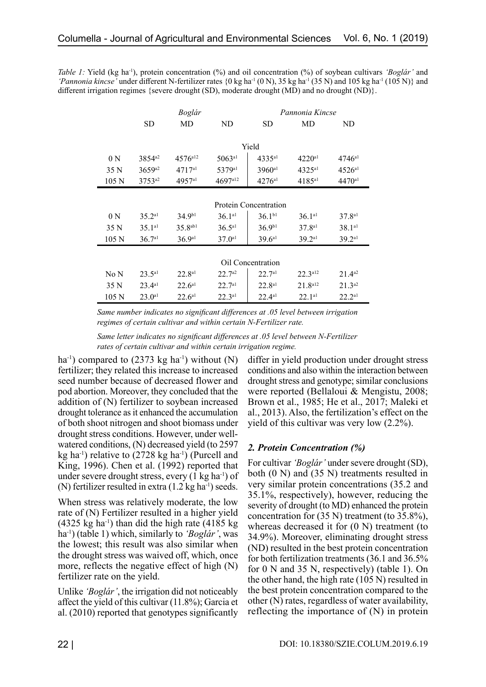*Table 1:* Yield (kg ha-1), protein concentration (%) and oil concentration (%) of soybean cultivars *'Boglár'* and 'Pannonia kincse' under different N-fertilizer rates {0 kg ha<sup>-1</sup> (0 N), 35 kg ha<sup>-1</sup> (35 N) and 105 kg ha<sup>-1</sup> (105 N)} and different irrigation regimes {severe drought (SD), moderate drought (MD) and no drought (ND)}.

|                  | Boglár                |                    |                    | Pannonia Kincse    |                      |             |
|------------------|-----------------------|--------------------|--------------------|--------------------|----------------------|-------------|
|                  | <b>SD</b>             | MD                 | ND.                | <b>SD</b>          | MD                   | ND.         |
|                  |                       |                    |                    |                    |                      |             |
|                  | Yield                 |                    |                    |                    |                      |             |
| 0 <sub>N</sub>   | $3854^{a2}$           | $4576^{a12}$       | 5063a1             | 4335a1             | 4220a1               | 4746a1      |
| 35 N             | 3659 <sup>a2</sup>    | 4717a1             | 5379 <sup>a1</sup> | 3960 <sup>a1</sup> | $4325$ <sup>al</sup> | $4526^{a1}$ |
| 105 <sub>N</sub> | $3753^{a2}$           | 4957a1             | 4697a12            | 4276a1             | $4185$ <sup>a1</sup> | 4470a1      |
|                  |                       |                    |                    |                    |                      |             |
|                  | Protein Concentration |                    |                    |                    |                      |             |
| 0 <sub>N</sub>   | 35.2a1                | 34.9 <sup>b1</sup> | 36.1a1             | $36.1^{b1}$        | 36.1a1               | 37.8a1      |
| 35 N             | 35.1a1                | $35.8^{ab1}$       | 36.5a1             | $36.9^{b1}$        | 37.8a1               | 38.1a1      |
| 105 <sub>N</sub> | 36.7a1                | 36.9a1             | 37.0a1             | 39.6a1             | 39.2a1               | 39.2a1      |
|                  |                       |                    |                    |                    |                      |             |
|                  | Oil Concentration     |                    |                    |                    |                      |             |
| No N             | 23.5a1                | 22.8a1             | 22.7a2             | 22.7a1             | 22.3a12              | $21.4a^2$   |
| 35 N             | 23.4a1                | $22.6^{a1}$        | 22.7a1             | 22.8a1             | $21.8a12}$           | $21.3^{a2}$ |
| 105 <sub>N</sub> | $23.0^{a1}$           | $22.6^{a1}$        | 22.3a1             | 22.4a1             | 22.1a1               | 22.2a1      |

*Same number indicates no significant differences at .05 level between irrigation regimes of certain cultivar and within certain N-Fertilizer rate.*

*Same letter indicates no significant differences at .05 level between N-Fertilizer rates of certain cultivar and within certain irrigation regime.*

ha<sup>-1</sup>) compared to  $(2373 \text{ kg ha}^{-1})$  without (N) fertilizer; they related this increase to increased seed number because of decreased flower and pod abortion. Moreover, they concluded that the addition of (N) fertilizer to soybean increased drought tolerance as it enhanced the accumulation of both shoot nitrogen and shoot biomass under drought stress conditions. However, under wellwatered conditions, (N) decreased yield (to 2597 kg ha<sup>-1</sup>) relative to  $(2728 \text{ kg ha}^{-1})$  (Purcell and King, 1996). Chen et al. (1992) reported that under severe drought stress, every  $(1 \text{ kg ha}^{-1})$  of (N) fertilizer resulted in extra  $(1.2 \text{ kg ha}^{-1})$  seeds.

When stress was relatively moderate, the low rate of (N) Fertilizer resulted in a higher yield  $(4325 \text{ kg ha}^{-1})$  than did the high rate  $(4185 \text{ kg})$ ha-1) (table 1) which, similarly to *'Boglár'*, was the lowest; this result was also similar when the drought stress was waived off, which, once more, reflects the negative effect of high (N) fertilizer rate on the yield.

Unlike *'Boglár'*, the irrigation did not noticeably affect the yield of this cultivar (11.8%); Garcia et al. (2010) reported that genotypes significantly

differ in yield production under drought stress conditions and also within the interaction between drought stress and genotype; similar conclusions were reported (Bellaloui & Mengistu, 2008; Brown et al., 1985; He et al., 2017; Maleki et al., 2013). Also, the fertilization's effect on the yield of this cultivar was very low (2.2%).

## *2. Protein Concentration (%)*

For cultivar *'Boglár'* under severe drought (SD), both (0 N) and (35 N) treatments resulted in very similar protein concentrations (35.2 and 35.1%, respectively), however, reducing the severity of drought (to MD) enhanced the protein concentration for (35 N) treatment (to 35.8%), whereas decreased it for  $(0 N)$  treatment (to 34.9%). Moreover, eliminating drought stress (ND) resulted in the best protein concentration for both fertilization treatments (36.1 and 36.5% for 0 N and 35 N, respectively) (table 1). On the other hand, the high rate (105 N) resulted in the best protein concentration compared to the other (N) rates, regardless of water availability, reflecting the importance of (N) in protein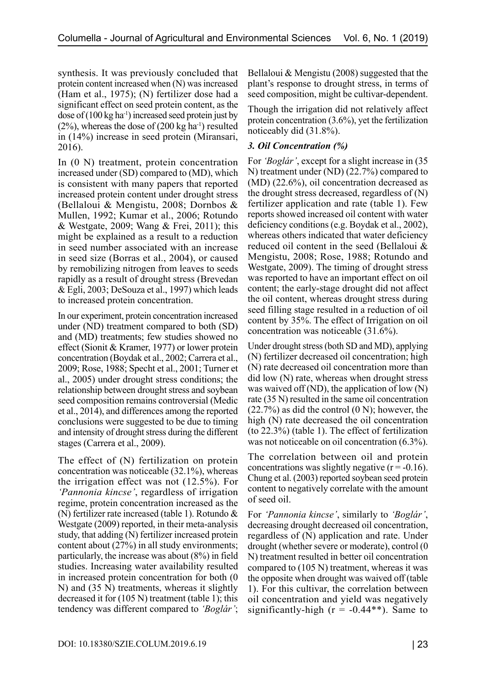synthesis. It was previously concluded that protein content increased when (N) was increased (Ham et al., 1975); (N) fertilizer dose had a significant effect on seed protein content, as the dose of  $(100 \text{ kg ha}^{-1})$  increased seed protein just by  $(2\%)$ , whereas the dose of  $(200 \text{ kg ha}^{-1})$  resulted in (14%) increase in seed protein (Miransari, 2016).

In (0 N) treatment, protein concentration increased under (SD) compared to (MD), which is consistent with many papers that reported increased protein content under drought stress (Bellaloui & Mengistu, 2008; Dornbos & Mullen, 1992; Kumar et al., 2006; Rotundo & Westgate, 2009; Wang & Frei, 2011); this might be explained as a result to a reduction in seed number associated with an increase in seed size (Borras et al., 2004), or caused by remobilizing nitrogen from leaves to seeds rapidly as a result of drought stress (Brevedan & Egli, 2003; DeSouza et al., 1997) which leads to increased protein concentration.

In our experiment, protein concentration increased under (ND) treatment compared to both (SD) and (MD) treatments; few studies showed no effect (Sionit & Kramer, 1977) or lower protein concentration (Boydak et al., 2002; Carrera et al., 2009; Rose, 1988; Specht et al., 2001; Turner et al., 2005) under drought stress conditions; the relationship between drought stress and soybean seed composition remains controversial (Medic et al., 2014), and differences among the reported conclusions were suggested to be due to timing and intensity of drought stress during the different stages (Carrera et al., 2009).

The effect of (N) fertilization on protein concentration was noticeable (32.1%), whereas the irrigation effect was not (12.5%). For *'Pannonia kincse'*, regardless of irrigation regime, protein concentration increased as the (N) fertilizer rate increased (table 1). Rotundo & Westgate (2009) reported, in their meta-analysis study, that adding (N) fertilizer increased protein content about (27%) in all study environments; particularly, the increase was about (8%) in field studies. Increasing water availability resulted in increased protein concentration for both (0 N) and (35 N) treatments, whereas it slightly decreased it for (105 N) treatment (table 1); this tendency was different compared to *'Boglár'*;

Bellaloui & Mengistu (2008) suggested that the plant's response to drought stress, in terms of seed composition, might be cultivar-dependent.

Though the irrigation did not relatively affect protein concentration (3.6%), yet the fertilization noticeably did (31.8%).

## *3. Oil Concentration (%)*

For *'Boglár'*, except for a slight increase in (35 N) treatment under (ND) (22.7%) compared to (MD) (22.6%), oil concentration decreased as the drought stress decreased, regardless of (N) fertilizer application and rate (table 1). Few reports showed increased oil content with water deficiency conditions (e.g. Boydak et al., 2002), whereas others indicated that water deficiency reduced oil content in the seed (Bellaloui & Mengistu, 2008; Rose, 1988; Rotundo and Westgate, 2009). The timing of drought stress was reported to have an important effect on oil content; the early-stage drought did not affect the oil content, whereas drought stress during seed filling stage resulted in a reduction of oil content by 35%. The effect of Irrigation on oil concentration was noticeable (31.6%).

Under drought stress (both SD and MD), applying (N) fertilizer decreased oil concentration; high (N) rate decreased oil concentration more than did low (N) rate, whereas when drought stress was waived off (ND), the application of low  $(N)$ rate (35 N) resulted in the same oil concentration  $(22.7%)$  as did the control  $(0 N)$ ; however, the high (N) rate decreased the oil concentration (to 22.3%) (table 1). The effect of fertilization was not noticeable on oil concentration (6.3%).

The correlation between oil and protein concentrations was slightly negative  $(r = -0.16)$ . Chung et al. (2003) reported soybean seed protein content to negatively correlate with the amount of seed oil.

For *'Pannonia kincse'*, similarly to *'Boglár'*, decreasing drought decreased oil concentration, regardless of (N) application and rate. Under drought (whether severe or moderate), control (0 N) treatment resulted in better oil concentration compared to (105 N) treatment, whereas it was the opposite when drought was waived off (table 1). For this cultivar, the correlation between oil concentration and yield was negatively significantly-high ( $r = -0.44**$ ). Same to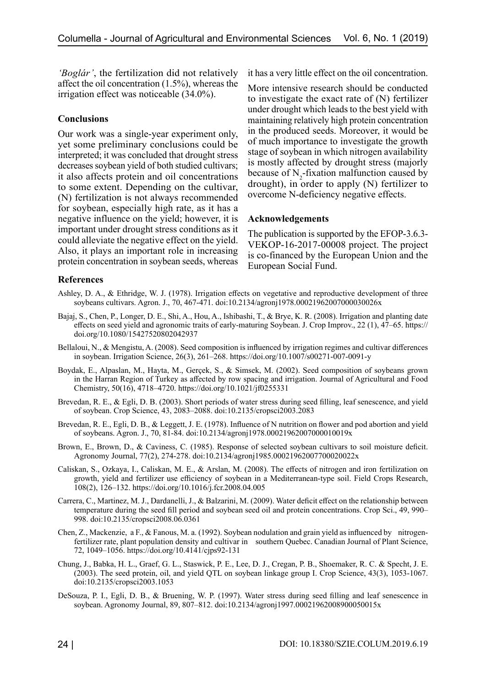*'Boglár'*, the fertilization did not relatively affect the oil concentration (1.5%), whereas the irrigation effect was noticeable (34.0%).

### **Conclusions**

Our work was a single-year experiment only, yet some preliminary conclusions could be interpreted; it was concluded that drought stress decreases soybean yield of both studied cultivars; it also affects protein and oil concentrations to some extent. Depending on the cultivar, (N) fertilization is not always recommended for soybean, especially high rate, as it has a negative influence on the yield; however, it is important under drought stress conditions as it could alleviate the negative effect on the yield. Also, it plays an important role in increasing protein concentration in soybean seeds, whereas

it has a very little effect on the oil concentration.

More intensive research should be conducted to investigate the exact rate of (N) fertilizer under drought which leads to the best yield with maintaining relatively high protein concentration in the produced seeds. Moreover, it would be of much importance to investigate the growth stage of soybean in which nitrogen availability is mostly affected by drought stress (majorly because of  $N_2$ -fixation malfunction caused by drought), in order to apply (N) fertilizer to overcome N-deficiency negative effects.

#### **Acknowledgements**

The publication is supported by the EFOP-3.6.3- VEKOP-16-2017-00008 project. The project is co-financed by the European Union and the European Social Fund.

## **References**

- Ashley, D. A., & Ethridge, W. J. (1978). Irrigation effects on vegetative and reproductive development of three soybeans cultivars. Agron. J., 70, 467-471. doi:10.2134/agronj1978.00021962007000030026x
- Bajaj, S., Chen, P., Longer, D. E., Shi, A., Hou, A., Ishibashi, T., & Brye, K. R. (2008). Irrigation and planting date effects on seed yield and agronomic traits of early-maturing Soybean. J. Crop Improv., 22 (1), 47–65. https:// doi.org/10.1080/15427520802042937
- Bellaloui, N., & Mengistu, A. (2008). Seed composition is influenced by irrigation regimes and cultivar differences in soybean. Irrigation Science, 26(3), 261–268. https://doi.org/10.1007/s00271-007-0091-y
- Boydak, E., Alpaslan, M., Hayta, M., Gerçek, S., & Simsek, M. (2002). Seed composition of soybeans grown in the Harran Region of Turkey as affected by row spacing and irrigation. Journal of Agricultural and Food Chemistry, 50(16), 4718–4720. https://doi.org/10.1021/jf0255331
- Brevedan, R. E., & Egli, D. B. (2003). Short periods of water stress during seed filling, leaf senescence, and yield of soybean. Crop Science, 43, 2083–2088. doi:10.2135/cropsci2003.2083
- Brevedan, R. E., Egli, D. B., & Leggett, J. E. (1978). Influence of N nutrition on flower and pod abortion and yield of soybeans. Agron. J., 70, 81-84. doi:10.2134/agronj1978.00021962007000010019x
- Brown, E., Brown, D., & Caviness, C. (1985). Response of selected soybean cultivars to soil moisture deficit. Agronomy Journal, 77(2), 274-278. doi:10.2134/agronj1985.00021962007700020022x
- Caliskan, S., Ozkaya, I., Caliskan, M. E., & Arslan, M. (2008). The effects of nitrogen and iron fertilization on growth, yield and fertilizer use efficiency of soybean in a Mediterranean-type soil. Field Crops Research, 108(2), 126–132. https://doi.org/10.1016/j.fcr.2008.04.005
- Carrera, C., Martinez, M. J., Dardanelli, J., & Balzarini, M. (2009). Water deficit effect on the relationship between temperature during the seed fill period and soybean seed oil and protein concentrations. Crop Sci., 49, 990– 998. doi:10.2135/cropsci2008.06.0361
- Chen, Z., Mackenzie, a F., & Fanous, M. a. (1992). Soybean nodulation and grain yield as influenced by nitrogenfertilizer rate, plant population density and cultivar in southern Quebec. Canadian Journal of Plant Science, 72, 1049–1056. https://doi.org/10.4141/cjps92-131
- Chung, J., Babka, H. L., Graef, G. L., Staswick, P. E., Lee, D. J., Cregan, P. B., Shoemaker, R. C. & Specht, J. E. (2003). The seed protein, oil, and yield QTL on soybean linkage group I. Crop Science, 43(3), 1053-1067. doi:10.2135/cropsci2003.1053
- DeSouza, P. I., Egli, D. B., & Bruening, W. P. (1997). Water stress during seed filling and leaf senescence in soybean. Agronomy Journal, 89, 807–812. doi:10.2134/agronj1997.00021962008900050015x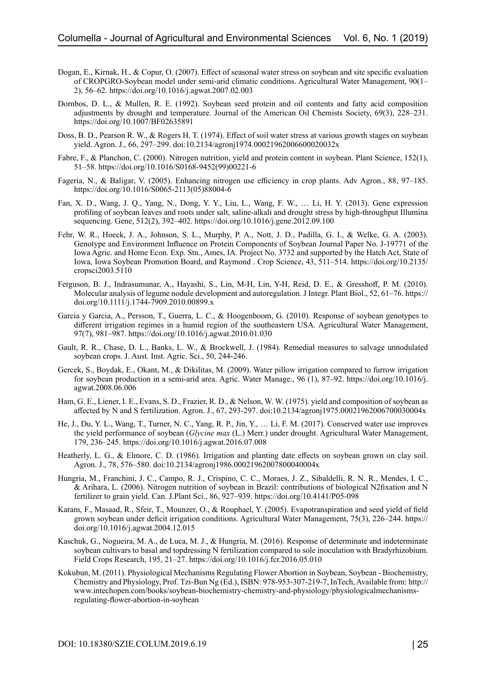- Dogan, E., Kirnak, H., & Copur, O. (2007). Effect of seasonal water stress on soybean and site specific evaluation of CROPGRO-Soybean model under semi-arid climatic conditions. Agricultural Water Management, 90(1– 2), 56–62. https://doi.org/10.1016/j.agwat.2007.02.003
- Dornbos, D. L., & Mullen, R. E. (1992). Soybean seed protein and oil contents and fatty acid composition adjustments by drought and temperature. Journal of the American Oil Chemists Society, 69(3), 228–231. https://doi.org/10.1007/BF02635891
- Doss, B. D., Pearson R. W., & Rogers H. T. (1974). Effect of soil water stress at various growth stages on soybean yield. Agron. J., 66, 297–299. doi:10.2134/agronj1974.00021962006600020032x
- Fabre, F., & Planchon, C. (2000). Nitrogen nutrition, yield and protein content in soybean. Plant Science, 152(1), 51–58. https://doi.org/10.1016/S0168-9452(99)00221-6
- Fageria, N., & Baligar, V. (2005). Enhancing nitrogen use efficiency in crop plants. Adv Agron., 88, 97–185. https://doi.org/10.1016/S0065-2113(05)88004-6
- Fan, X. D., Wang, J. Q., Yang, N., Dong, Y. Y., Liu, L., Wang, F. W., … Li, H. Y. (2013). Gene expression profiling of soybean leaves and roots under salt, saline-alkali and drought stress by high-throughput Illumina sequencing. Gene, 512(2), 392–402. https://doi.org/10.1016/j.gene.2012.09.100
- Fehr, W. R., Hoeck, J. A., Johnson, S. L., Murphy, P. A., Nott, J. D., Padilla, G. I., & Welke, G. A. (2003). Genotype and Environment Influence on Protein Components of Soybean Journal Paper No. J-19771 of the Iowa Agric. and Home Econ. Exp. Stn., Ames, IA. Project No. 3732 and supported by the Hatch Act, State of Iowa, Iowa Soybean Promotion Board, and Raymond . Crop Science, 43, 511–514. https://doi.org/10.2135/ cropsci2003.5110
- Ferguson, B. J., Indrasumunar, A., Hayashi, S., Lin, M-H, Lin, Y-H, Reid, D. E., & Gresshoff, P. M. (2010). Molecular analysis of legume nodule development and autoregulation. J Integr. Plant Biol., 52, 61–76. https:// doi.org/10.1111/j.1744-7909.2010.00899.x
- Garcia y Garcia, A., Persson, T., Guerra, L. C., & Hoogenboom, G. (2010). Response of soybean genotypes to different irrigation regimes in a humid region of the southeastern USA. Agricultural Water Management, 97(7), 981–987. https://doi.org/10.1016/j.agwat.2010.01.030
- Gault, R. R., Chase, D. L., Banks, L. W., & Brockwell, J. (1984). Remedial measures to salvage unnodulated soybean crops. J. Aust. Inst. Agric. Sci., 50, 244-246.
- Gercek, S., Boydak, E., Okant, M., & Dikilitas, M. (2009). Water pillow irrigation compared to furrow irrigation for soybean production in a semi-arid area. Agric. Water Manage., 96 (1), 87–92. https://doi.org/10.1016/j. agwat.2008.06.006
- Ham, G. E., Liener, I. E., Evans, S. D., Frazier, R. D., & Nelson, W. W. (1975). yield and composition of soybean as affected by N and S fertilization. Agron. J., 67, 293-297. doi:10.2134/agronj1975.00021962006700030004x
- He, J., Du, Y. L., Wang, T., Turner, N. C., Yang, R. P., Jin, Y., … Li, F. M. (2017). Conserved water use improves the yield performance of soybean (*Glycine max* (L.) Merr.) under drought. Agricultural Water Management, 179, 236–245. https://doi.org/10.1016/j.agwat.2016.07.008
- Heatherly, L. G., & Elmore, C. D. (1986). Irrigation and planting date effects on soybean grown on clay soil. Agron. J., 78, 576–580. doi:10.2134/agronj1986.00021962007800040004x
- Hungria, M., Franchini, J. C., Campo, R. J., Crispino, C. C., Moraes, J. Z., Sibaldelli, R. N. R., Mendes, I. C., & Arihara, L. (2006). Nitrogen nutrition of soybean in Brazil: contributions of biological N2fixation and N fertilizer to grain yield. Can. J.Plant Sci., 86, 927–939. https://doi.org/10.4141/P05-098
- Karam, F., Masaad, R., Sfeir, T., Mounzer, O., & Rouphael, Y. (2005). Evapotranspiration and seed yield of field grown soybean under deficit irrigation conditions. Agricultural Water Management, 75(3), 226–244. https:// doi.org/10.1016/j.agwat.2004.12.015
- Kaschuk, G., Nogueira, M. A., de Luca, M. J., & Hungria, M. (2016). Response of determinate and indeterminate soybean cultivars to basal and topdressing N fertilization compared to sole inoculation with Bradyrhizobium. Field Crops Research, 195, 21–27. https://doi.org/10.1016/j.fcr.2016.05.010
- Kokubun, M. (2011). Physiological Mechanisms Regulating Flower Abortion in Soybean, Soybean Biochemistry, Chemistry and Physiology, Prof. Tzi-Bun Ng (Ed.), ISBN: 978-953-307-219-7, InTech, Available from: http:// www.intechopen.com/books/soybean-biochemistry-chemistry-and-physiology/physiologicalmechanismsregulating-flower-abortion-in-soybean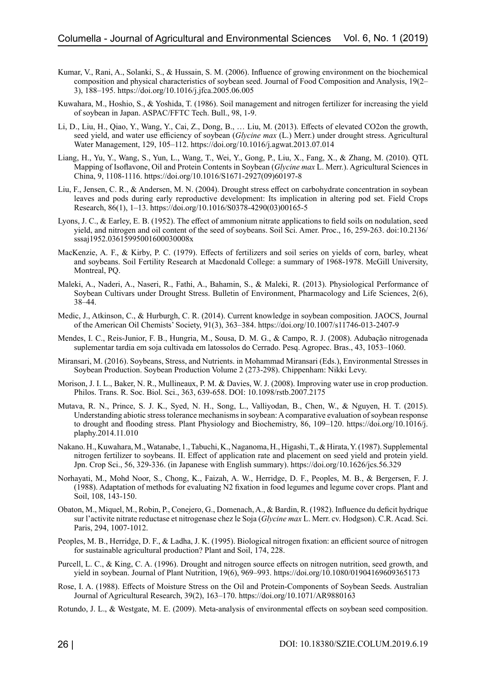- Kumar, V., Rani, A., Solanki, S., & Hussain, S. M. (2006). Influence of growing environment on the biochemical composition and physical characteristics of soybean seed. Journal of Food Composition and Analysis, 19(2– 3), 188–195. https://doi.org/10.1016/j.jfca.2005.06.005
- Kuwahara, M., Hoshio, S., & Yoshida, T. (1986). Soil management and nitrogen fertilizer for increasing the yield of soybean in Japan. ASPAC/FFTC Tech. Bull., 98, 1-9.
- Li, D., Liu, H., Qiao, Y., Wang, Y., Cai, Z., Dong, B., … Liu, M. (2013). Effects of elevated CO2on the growth, seed yield, and water use efficiency of soybean (*Glycine max* (L.) Merr.) under drought stress. Agricultural Water Management, 129, 105–112. https://doi.org/10.1016/j.agwat.2013.07.014
- Liang, H., Yu, Y., Wang, S., Yun, L., Wang, T., Wei, Y., Gong, P., Liu, X., Fang, X., & Zhang, M. (2010). QTL Mapping of Isoflavone, Oil and Protein Contents in Soybean (*Glycine max* L. Merr.). Agricultural Sciences in China, 9, 1108-1116. https://doi.org/10.1016/S1671-2927(09)60197-8
- Liu, F., Jensen, C. R., & Andersen, M. N. (2004). Drought stress effect on carbohydrate concentration in soybean leaves and pods during early reproductive development: Its implication in altering pod set. Field Crops Research, 86(1), 1–13. https://doi.org/10.1016/S0378-4290(03)00165-5
- Lyons, J. C., & Earley, E. B. (1952). The effect of ammonium nitrate applications to field soils on nodulation, seed yield, and nitrogen and oil content of the seed of soybeans. Soil Sci. Amer. Proc., 16, 259-263. doi:10.2136/ sssaj1952.03615995001600030008x
- MacKenzie, A. F., & Kirby, P. C. (1979). Effects of fertilizers and soil series on yields of corn, barley, wheat and soybeans. Soil Fertility Research at Macdonald College: a summary of 1968-1978. McGill University, Montreal, PQ.
- Maleki, A., Naderi, A., Naseri, R., Fathi, A., Bahamin, S., & Maleki, R. (2013). Physiological Performance of Soybean Cultivars under Drought Stress. Bulletin of Environment, Pharmacology and Life Sciences, 2(6), 38–44.
- Medic, J., Atkinson, C., & Hurburgh, C. R. (2014). Current knowledge in soybean composition. JAOCS, Journal of the American Oil Chemists' Society, 91(3), 363–384. https://doi.org/10.1007/s11746-013-2407-9
- Mendes, I. C., Reis-Junior, F. B., Hungria, M., Sousa, D. M. G., & Campo, R. J. (2008). Adubação nitrogenada suplementar tardia em soja cultivada em latossolos do Cerrado. Pesq. Agropec. Bras., 43, 1053–1060.
- Miransari, M. (2016). Soybeans, Stress, and Nutrients. in Mohammad Miransari (Eds.), Environmental Stresses in Soybean Production. Soybean Production Volume 2 (273-298). Chippenham: Nikki Levy.
- Morison, J. I. L., Baker, N. R., Mullineaux, P. M. & Davies, W. J. (2008). Improving water use in crop production. Philos. Trans. R. Soc. Biol. Sci., 363, 639-658. DOI: 10.1098/rstb.2007.2175
- Mutava, R. N., Prince, S. J. K., Syed, N. H., Song, L., Valliyodan, B., Chen, W., & Nguyen, H. T. (2015). Understanding abiotic stress tolerance mechanisms in soybean: A comparative evaluation of soybean response to drought and flooding stress. Plant Physiology and Biochemistry, 86, 109–120. https://doi.org/10.1016/j. plaphy.2014.11.010
- Nakano. H., Kuwahara, M., Watanabe, 1., Tabuchi, K., Naganoma, H., Higashi, T., & Hirata, Y. (1987). Supplemental nitrogen fertilizer to soybeans. II. Effect of application rate and placement on seed yield and protein yield. Jpn. Crop Sci., 56, 329-336. (in Japanese with English summary). https://doi.org/10.1626/jcs.56.329
- Norhayati, M., Mohd Noor, S., Chong, K., Faizah, A. W., Herridge, D. F., Peoples, M. B., & Bergersen, F. J. (1988). Adaptation of methods for evaluating N2 fixation in food legumes and legume cover crops. Plant and Soil, 108, 143-150.
- Obaton, M., Miquel, M., Robin, P., Conejero, G., Domenach, A., & Bardin, R. (1982). Influence du deficit hydrique sur l'activite nitrate reductase et nitrogenase chez le Soja (*Glycine max* L. Merr. cv. Hodgson). C.R. Acad. Sci. Paris, 294, 1007-1012.
- Peoples, M. B., Herridge, D. F., & Ladha, J. K. (1995). Biological nitrogen fixation: an efficient source of nitrogen for sustainable agricultural production? Plant and Soil, 174, 228.
- Purcell, L. C., & King, C. A. (1996). Drought and nitrogen source effects on nitrogen nutrition, seed growth, and yield in soybean. Journal of Plant Nutrition, 19(6), 969–993. https://doi.org/10.1080/01904169609365173
- Rose, I. A. (1988). Effects of Moisture Stress on the Oil and Protein-Components of Soybean Seeds. Australian Journal of Agricultural Research, 39(2), 163–170. https://doi.org/10.1071/AR9880163
- Rotundo, J. L., & Westgate, M. E. (2009). Meta-analysis of environmental effects on soybean seed composition.